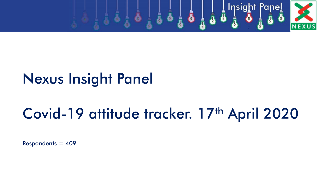

## Nexus Insight Panel

# Covid-19 attitude tracker. 17th April 2020

 $Respondents = 409$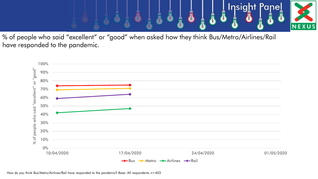

% of people who said "excellent" or "good" when asked how they think Bus/Metro/Airlines/Rail have responded to the pandemic.

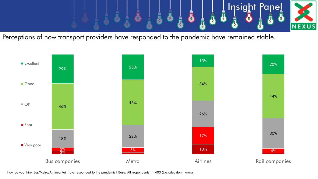

Perceptions of how transport providers have responded to the pandemic have remained stable.



How do you think Bus/Metro/Airlines/Rail have responded to the pandemic? Base: All respondents n=403 (Excludes don't knows)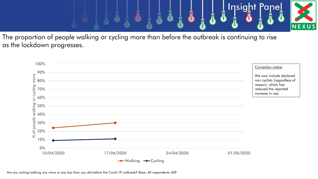

The proportion of people walking or cycling more than before the outbreak is continuing to rise as the lockdown progresses.

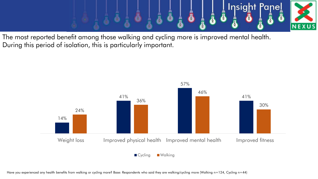

The most reported benefit among those walking and cycling more is improved mental health. During this period of isolation, this is particularly important.

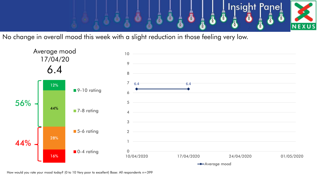

No change in overall mood this week with a slight reduction in those feeling very low.



How would you rate your mood today? (0 to 10 Very poor to excellent) Base: All respondents n=399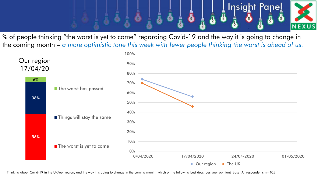

% of people thinking "the worst is yet to come" regarding Covid-19 and the way it is going to change in the coming month – *a more optimistic tone this week with fewer people thinking the worst is ahead of us.*



Thinking about Covid-19 in the UK/our region, and the way it is going to change in the coming month, which of the following best describes your opinion? Base: All respondents n=405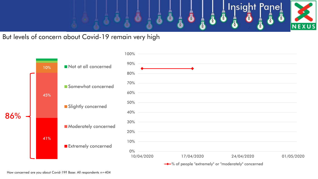

But levels of concern about Covid-19 remain very high

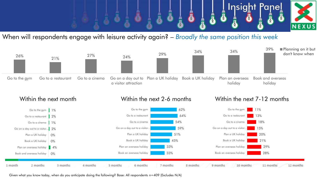

## When will respondents engage with leisure activity again? – *Broadly the same position this week*





Given what you know today, when do you anticipate doing the following? Base: All respondents n=409 (Excludes N/A)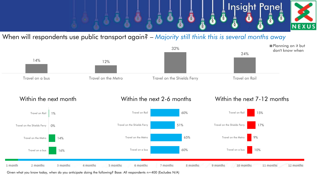

### When will respondents use public transport again? – *Majority still think this is several months away*





Given what you know today, when do you anticipate doing the following? Base: All respondents n=400 (Excludes N/A)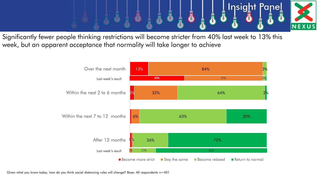

Significantly fewer people thinking restrictions will become stricter from 40% last week to 13% this week, but an apparent acceptance that normality will take longer to achieve



Given what you know today, how do you think social distancing rules will change? Base: All respondents n=401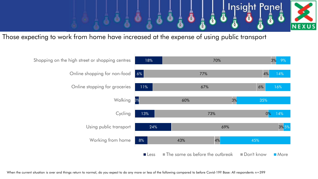

Those expecting to work from home have increased at the expense of using public transport

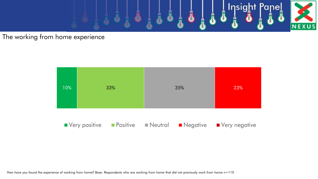

#### The working from home experience

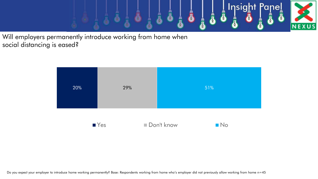

Will employers permanently introduce working from home when social distancing is eased?

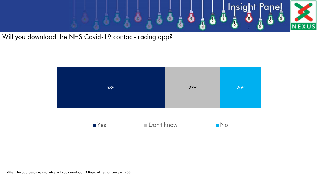

Will you download the NHS Covid-19 contact-tracing app?



When the app becomes available will you download it? Base: All respondents n=408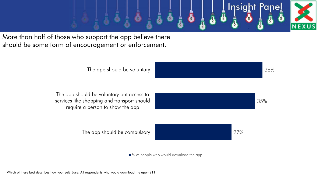

More than half of those who support the app believe there should be some form of encouragement or enforcement.